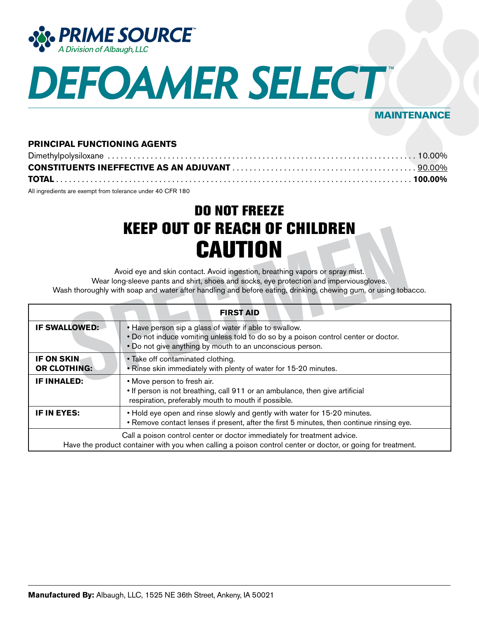

# **DEFOAMER SELECT**

## MAINTENANCE

### **PRINCIPAL FUNCTIONING AGENTS**

| All ingredients are exempt from tolerance under 40 CFR 180 |  |
|------------------------------------------------------------|--|

DO NOT FREEZE KEEP OUT OF REACH OF CHILDREN **CAUTION** 

| KEEP UUI UF KEAGH UF GHILDKEN<br><b>CAUTION</b><br>Avoid eye and skin contact. Avoid ingestion, breathing vapors or spray mist.<br>Wear long-sleeve pants and shirt, shoes and socks, eye protection and imperviousgloves.<br>Wash thoroughly with soap and water after handling and before eating, drinking, chewing gum, or using tobacco. |                                                                                                                                                                                                            |  |
|----------------------------------------------------------------------------------------------------------------------------------------------------------------------------------------------------------------------------------------------------------------------------------------------------------------------------------------------|------------------------------------------------------------------------------------------------------------------------------------------------------------------------------------------------------------|--|
| <b>FIRST AID</b>                                                                                                                                                                                                                                                                                                                             |                                                                                                                                                                                                            |  |
| <b>IF SWALLOWED:</b>                                                                                                                                                                                                                                                                                                                         | • Have person sip a glass of water if able to swallow.<br>. Do not induce vomiting unless told to do so by a poison control center or doctor.<br>. Do not give anything by mouth to an unconscious person. |  |
| IF ON SKIN<br><b>OR CLOTHING:</b>                                                                                                                                                                                                                                                                                                            | • Take off contaminated clothing.<br>. Rinse skin immediately with plenty of water for 15-20 minutes.                                                                                                      |  |
| <b>IF INHALED:</b>                                                                                                                                                                                                                                                                                                                           | • Move person to fresh air.<br>• If person is not breathing, call 911 or an ambulance, then give artificial<br>respiration, preferably mouth to mouth if possible.                                         |  |
| IF IN EYES:                                                                                                                                                                                                                                                                                                                                  | . Hold eye open and rinse slowly and gently with water for 15-20 minutes.<br>• Remove contact lenses if present, after the first 5 minutes, then continue rinsing eye.                                     |  |
|                                                                                                                                                                                                                                                                                                                                              | Call a poison control center or doctor immediately for treatment advice.<br>Have the product container with you when calling a poison control center or doctor, or going for treatment.                    |  |